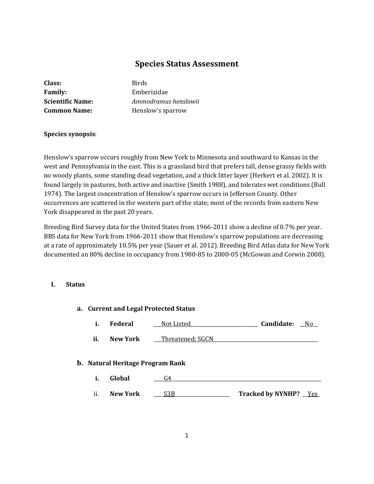# **Species Status Assessment**

| Class:                  |
|-------------------------|
| <b>Family:</b>          |
| <b>Scientific Name:</b> |
| <b>Common Name:</b>     |

**Class:** Birds **Family:** Emberizidae **Scientific Name:** *Ammodramus henslowii* **Common Name:** Henslow's sparrow

## **Species synopsis**:

Henslow's sparrow occurs roughly from New York to Minnesota and southward to Kansas in the west and Pennsylvania in the east. This is a grassland bird that prefers tall, dense grassy fields with no woody plants, some standing dead vegetation, and a thick litter layer (Herkert et al. 2002). It is found largely in pastures, both active and inactive (Smith 1988), and tolerates wet conditions (Bull 1974). The largest concentration of Henslow's sparrow occurs in Jefferson County. Other occurrences are scattered in the western part of the state; most of the records from eastern New York disappeared in the past 20 years.

Breeding Bird Survey data for the United States from 1966-2011 show a decline of 0.7% per year. BBS data for New York from 1966-2011 show that Henslow's sparrow populations are decreasing at a rate of approximately 10.5% per year (Sauer et al. 2012). Breeding Bird Atlas data for New York documented an 80% decline in occupancy from 1980-85 to 2000-05 (McGowan and Corwin 2008).

## **I. Status**

|                                         | a. Current and Legal Protected Status |                 |                  |                              |
|-----------------------------------------|---------------------------------------|-----------------|------------------|------------------------------|
|                                         | i.                                    | <b>Federal</b>  | Not Listed       | Candidate:<br>No.            |
|                                         | ii.                                   | New York        | Threatened; SGCN |                              |
| <b>b.</b> Natural Heritage Program Rank |                                       |                 |                  |                              |
|                                         | i.                                    | Global          | G4               |                              |
|                                         | ii.                                   | <b>New York</b> | S <sub>3</sub> B | <b>Tracked by NYNHP?</b> Yes |
|                                         |                                       |                 |                  |                              |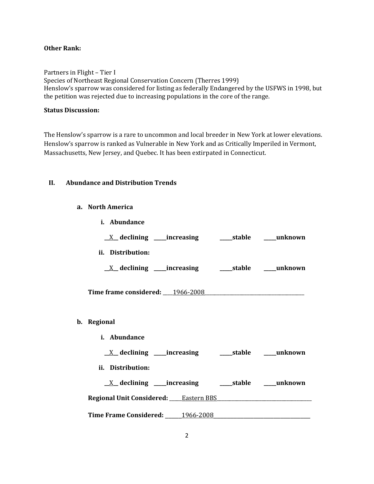## **Other Rank:**

Partners in Flight – Tier I Species of Northeast Regional Conservation Concern (Therres 1999) Henslow's sparrow was considered for listing as federally Endangered by the USFWS in 1998, but the petition was rejected due to increasing populations in the core of the range.

## **Status Discussion:**

The Henslow's sparrow is a rare to uncommon and local breeder in New York at lower elevations. Henslow's sparrow is ranked as Vulnerable in New York and as Critically Imperiled in Vermont, Massachusetts, New Jersey, and Quebec. It has been extirpated in Connecticut.

### **II. Abundance and Distribution Trends**

**a. North America**

| i. Abundance                                                                  |
|-------------------------------------------------------------------------------|
| $\underline{X}$ declining ____increasing __________stable ______unknown       |
| ii. Distribution:                                                             |
| $\underline{X}$ declining ____increasing __________stable ______unknown       |
| Time frame considered: 1966-2008                                              |
| b. Regional                                                                   |
| i. Abundance                                                                  |
| <u>X</u> declining ____increasing ______stable ____unknown                    |
| ii. Distribution:                                                             |
|                                                                               |
| Regional Unit Considered: Chastern BBS Communication Considered: Chastern BBS |
| Time Frame Considered: 1966-2008                                              |
|                                                                               |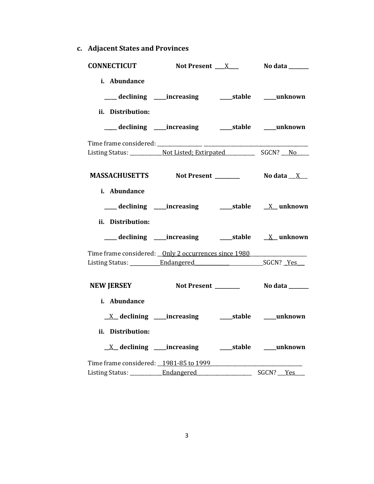**c. Adjacent States and Provinces**

|                                                         | <b>CONNECTICUT</b> Not Present $X_1$ No data $X_2$           |  |           |  |
|---------------------------------------------------------|--------------------------------------------------------------|--|-----------|--|
| i. Abundance<br>ii. Distribution:                       | ___ declining ____increasing _______stable _____unknown      |  |           |  |
|                                                         | ___ declining ____increasing ______stable ____unknown        |  |           |  |
|                                                         |                                                              |  |           |  |
|                                                         | MASSACHUSETTS Not Present Modata X                           |  |           |  |
| i. Abundance<br>ii. Distribution:                       |                                                              |  |           |  |
|                                                         |                                                              |  |           |  |
| Time frame considered: __ Only 2 occurrences since 1980 |                                                              |  |           |  |
|                                                         | NEW JERSEY Not Present _________ No data ______              |  |           |  |
| i. Abundance<br>ii. Distribution:                       |                                                              |  |           |  |
|                                                         | <u>X</u> declining ____increasing _______stable _____unknown |  |           |  |
| Time frame considered: _1981-85 to 1999                 |                                                              |  | SGCN? Yes |  |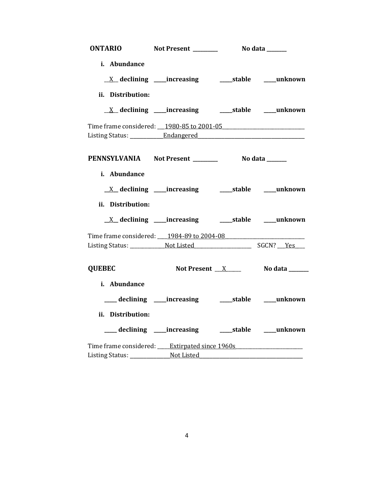|                   | ONTARIO Not Present _________ No data ______                                     |  |
|-------------------|----------------------------------------------------------------------------------|--|
| i. Abundance      |                                                                                  |  |
|                   |                                                                                  |  |
| ii. Distribution: |                                                                                  |  |
|                   | <u>X</u> declining ____increasing ______stable ____unknown                       |  |
|                   |                                                                                  |  |
|                   |                                                                                  |  |
|                   | PENNSYLVANIA Not Present __________ No data _____                                |  |
| i. Abundance      |                                                                                  |  |
|                   |                                                                                  |  |
| ii. Distribution: |                                                                                  |  |
|                   | <u>X</u> declining ____increasing ______stable ____unknown                       |  |
|                   | Time frame considered: 1984-89 to 2004-08                                        |  |
|                   |                                                                                  |  |
| <b>QUEBEC</b>     | Not Present X No data Nomes                                                      |  |
| i. Abundance      |                                                                                  |  |
|                   | ___ declining ____ increasing ______ stable _____ unknown                        |  |
| ii. Distribution: |                                                                                  |  |
|                   | ___ declining ____ increasing _____ stable ____ unknown                          |  |
|                   | Time frame considered: _____ Extirpated since 1960s ____________________________ |  |
|                   | Listing Status: Not Listed                                                       |  |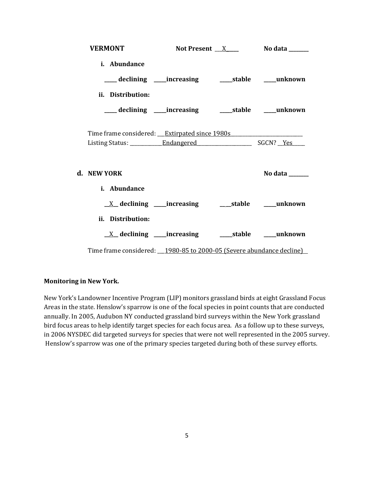| <b>VERMONT</b>                                                          |  | Not Present $X$ No data _______ |
|-------------------------------------------------------------------------|--|---------------------------------|
| i. Abundance                                                            |  |                                 |
| ___ declining ____ increasing ______ stable _____ unknown               |  |                                 |
| ii. Distribution:                                                       |  |                                 |
|                                                                         |  |                                 |
| Time frame considered: <u>Extirpated since 1980s</u>                    |  |                                 |
| d. NEW YORK                                                             |  | No data ______                  |
| <i>i.</i> Abundance                                                     |  |                                 |
| <u>X</u> declining ____increasing ______stable ____unknown              |  |                                 |
| ii. Distribution:                                                       |  |                                 |
| $\underline{X}$ declining ____increasing __________stable ______unknown |  |                                 |
| Time frame considered: __1980-85 to 2000-05 (Severe abundance decline)  |  |                                 |

## **Monitoring in New York.**

New York's Landowner Incentive Program (LIP) monitors grassland birds at eight Grassland Focus Areas in the state. Henslow's sparrow is one of the focal species in point counts that are conducted annually. In 2005, Audubon NY conducted grassland bird surveys within the New York grassland bird focus areas to help identify target species for each focus area. As a follow up to these surveys, in 2006 NYSDEC did targeted surveys for species that were not well represented in the 2005 survey. Henslow's sparrow was one of the primary species targeted during both of these survey efforts.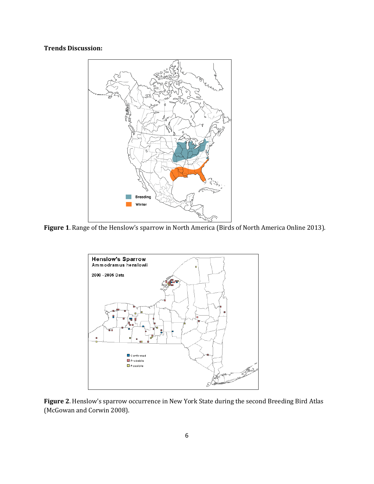## **Trends Discussion:**



**Figure 1**. Range of the Henslow's sparrow in North America (Birds of North America Online 2013).



**Figure 2**. Henslow's sparrow occurrence in New York State during the second Breeding Bird Atlas (McGowan and Corwin 2008).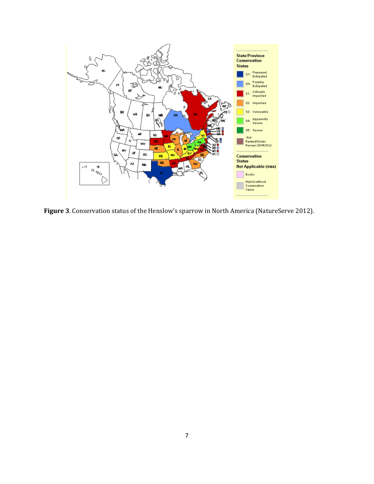

**Figure 3**. Conservation status of the Henslow's sparrow in North America (NatureServe 2012).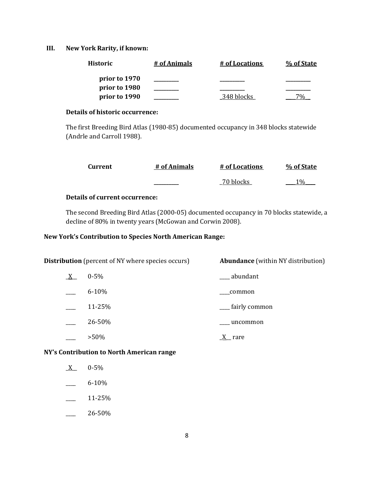## **III. New York Rarity, if known:**

| Historic      | # of Animals | # of Locations | % of State |
|---------------|--------------|----------------|------------|
| prior to 1970 |              |                |            |
| prior to 1980 |              |                |            |
| prior to 1990 |              | 348 blocks     |            |

## **Details of historic occurrence:**

The first Breeding Bird Atlas (1980-85) documented occupancy in 348 blocks statewide (Andrle and Carroll 1988).

| Current | # of Animals | # of Locations | % of State      |
|---------|--------------|----------------|-----------------|
|         |              | 70 blocks      | 10 <sub>o</sub> |

## **Details of current occurrence:**

The second Breeding Bird Atlas (2000-05) documented occupancy in 70 blocks statewide, a decline of 80% in twenty years (McGowan and Corwin 2008).

## **New York's Contribution to Species North American Range:**

|   | <b>Distribution</b> (percent of NY where species occurs) | <b>Abundance</b> (within NY distribution) |
|---|----------------------------------------------------------|-------------------------------------------|
| X | $0 - 5\%$                                                | abundant                                  |
|   | $6 - 10%$                                                | common                                    |
|   | 11-25%                                                   | __ fairly common                          |
|   | 26-50%                                                   | uncommon                                  |
|   | $>50\%$                                                  | rare                                      |

#### **NY's Contribution to North American range**

- $X = 0.5\%$
- $-$  6-10%
- $-$  11-25%
- $-26-50%$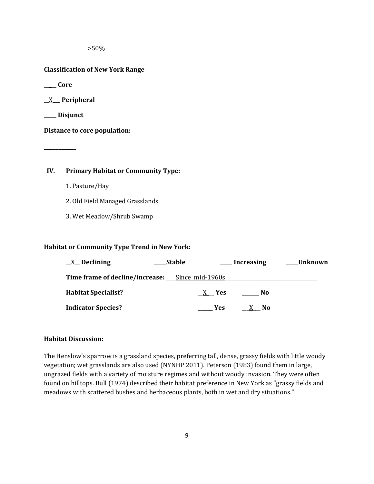$>50\%$ 

#### **Classification of New York Range**

**\_\_\_\_\_ Core**

\_\_X**\_\_\_ Peripheral**

**\_\_\_\_\_ Disjunct**

**\_\_\_\_\_\_\_\_\_\_\_**

**Distance to core population:**

## **IV. Primary Habitat or Community Type:**

- 1. Pasture/Hay
- 2. Old Field Managed Grasslands
- 3. Wet Meadow/Shrub Swamp

#### **Habitat or Community Type Trend in New York:**

| $X$ Declining                                   | <b>Stable</b> |            | <b>Increasing</b> | Unknown |
|-------------------------------------------------|---------------|------------|-------------------|---------|
| Time frame of decline/increase: Since mid-1960s |               |            |                   |         |
| <b>Habitat Specialist?</b>                      |               | X Yes      | No                |         |
| <b>Indicator Species?</b>                       |               | <b>Yes</b> | X No              |         |

#### **Habitat Discussion:**

The Henslow's sparrow is a grassland species, preferring tall, dense, grassy fields with little woody vegetation; wet grasslands are also used (NYNHP 2011). Peterson (1983) found them in large, ungrazed fields with a variety of moisture regimes and without woody invasion. They were often found on hilltops. Bull (1974) described their habitat preference in New York as "grassy fields and meadows with scattered bushes and herbaceous plants, both in wet and dry situations."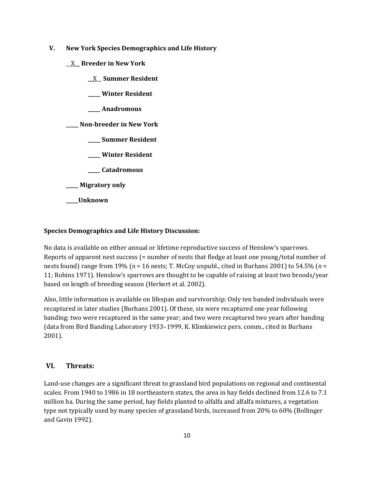- **V. New York Species Demographics and Life History**
	- \_\_X**\_\_ Breeder in New York**
		- **\_\_**X\_\_ **Summer Resident**
		- **\_\_\_\_\_ Winter Resident**
		- **\_\_\_\_\_ Anadromous**

**\_\_\_\_\_ Non-breeder in New York**

- **\_\_\_\_\_ Summer Resident**
- **\_\_\_\_\_ Winter Resident**
- **\_\_\_\_\_ Catadromous**
- **\_\_\_\_\_ Migratory only**
- **\_\_\_\_\_Unknown**

#### **Species Demographics and Life History Discussion:**

No data is available on either annual or lifetime reproductive success of Henslow's sparrows. Reports of apparent nest success (= number of nests that fledge at least one young/total number of nests found) range from 19% (*n* = 16 nests; T. McCoy unpubl., cited in Burhans 2001) to 54.5% (*n* = 11; Robins 1971). Henslow's sparrows are thought to be capable of raising at least two broods/year based on length of breeding season (Herkert et al. 2002).

Also, little information is available on lifespan and survivorship: Only ten banded individuals were recaptured in later studies (Burhans 2001). Of these, six were recaptured one year following banding; two were recaptured in the same year; and two were recaptured two years after banding (data from Bird Banding Laboratory 1933–1999, K. Klimkiewicz pers. comm., cited in Burhans 2001).

## **VI. Threats:**

Land-use changes are a significant threat to grassland bird populations on regional and continental scales. From 1940 to 1986 in 18 northeastern states, the area in hay fields declined from 12.6 to 7.1 million ha. During the same period, hay fields planted to alfalfa and alfalfa mixtures, a vegetation type not typically used by many species of grassland birds, increased from 20% to 60% (Bollinger and Gavin 1992).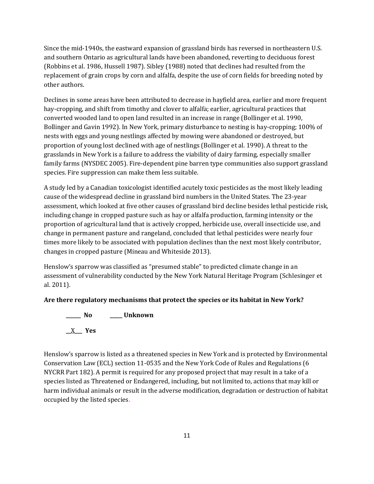Since the mid-1940s, the eastward expansion of grassland birds has reversed in northeastern U.S. and southern Ontario as agricultural lands have been abandoned, reverting to deciduous forest (Robbins et al. 1986, Hussell 1987). Sibley (1988) noted that declines had resulted from the replacement of grain crops by corn and alfalfa, despite the use of corn fields for breeding noted by other authors.

Declines in some areas have been attributed to decrease in hayfield area, earlier and more frequent hay-cropping, and shift from timothy and clover to alfalfa; earlier, agricultural practices that converted wooded land to open land resulted in an increase in range (Bollinger et al. 1990, Bollinger and Gavin 1992). In New York, primary disturbance to nesting is hay-cropping; 100% of nests with eggs and young nestlings affected by mowing were abandoned or destroyed, but proportion of young lost declined with age of nestlings (Bollinger et al. 1990). A threat to the grasslands in New York is a failure to address the viability of dairy farming, especially smaller family farms (NYSDEC 2005). Fire-dependent pine barren type communities also support grassland species. Fire suppression can make them less suitable.

A study led by a Canadian toxicologist identified acutely toxic pesticides as the most likely leading cause of the widespread decline in grassland bird numbers in the United States. The 23-year assessment, which looked at five other causes of grassland bird decline besides lethal pesticide risk, including change in cropped pasture such as hay or alfalfa production, farming intensity or the proportion of agricultural land that is actively cropped, herbicide use, overall insecticide use, and change in permanent pasture and rangeland, concluded that lethal pesticides were nearly four times more likely to be associated with population declines than the next most likely contributor, changes in cropped pasture (Mineau and Whiteside 2013).

Henslow's sparrow was classified as "presumed stable" to predicted climate change in an assessment of vulnerability conducted by the New York Natural Heritage Program (Schlesinger et al. 2011).

## **Are there regulatory mechanisms that protect the species or its habitat in New York?**

**\_\_\_\_\_\_ No \_\_\_\_\_ Unknown \_\_**X**\_\_\_ Yes** 

Henslow's sparrow is listed as a threatened species in New York and is protected by Environmental Conservation Law (ECL) section 11-0535 and the New York Code of Rules and Regulations (6 NYCRR Part 182). A permit is required for any proposed project that may result in a take of a species listed as Threatened or Endangered, including, but not limited to, actions that may kill or harm individual animals or result in the adverse modification, degradation or destruction of habitat occupied by the listed species.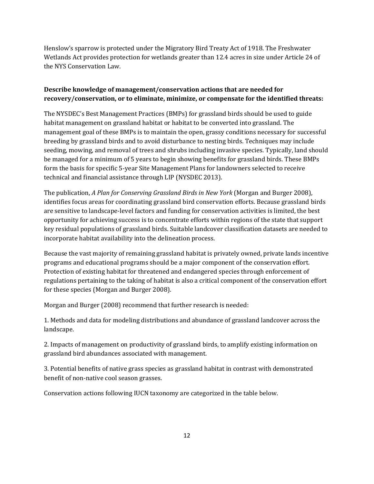Henslow's sparrow is protected under the Migratory Bird Treaty Act of 1918. The Freshwater Wetlands Act provides protection for wetlands greater than 12.4 acres in size under Article 24 of the NYS Conservation Law.

## **Describe knowledge of management/conservation actions that are needed for recovery/conservation, or to eliminate, minimize, or compensate for the identified threats:**

The NYSDEC's Best Management Practices (BMPs) for grassland birds should be used to guide habitat management on grassland habitat or habitat to be converted into grassland. The management goal of these BMPs is to maintain the open, grassy conditions necessary for successful breeding by grassland birds and to avoid disturbance to nesting birds. Techniques may include seeding, mowing, and removal of trees and shrubs including invasive species. Typically, land should be managed for a minimum of 5 years to begin showing benefits for grassland birds. These BMPs form the basis for specific 5-year Site Management Plans for landowners selected to receive technical and financial assistance through LIP (NYSDEC 2013).

The publication, *A Plan for Conserving Grassland Birds in New York* (Morgan and Burger 2008), identifies focus areas for coordinating grassland bird conservation efforts. Because grassland birds are sensitive to landscape-level factors and funding for conservation activities is limited, the best opportunity for achieving success is to concentrate efforts within regions of the state that support key residual populations of grassland birds. Suitable landcover classification datasets are needed to incorporate habitat availability into the delineation process.

Because the vast majority of remaining grassland habitat is privately owned, private lands incentive programs and educational programs should be a major component of the conservation effort. Protection of existing habitat for threatened and endangered species through enforcement of regulations pertaining to the taking of habitat is also a critical component of the conservation effort for these species (Morgan and Burger 2008).

Morgan and Burger (2008) recommend that further research is needed:

1. Methods and data for modeling distributions and abundance of grassland landcover across the landscape.

2. Impacts of management on productivity of grassland birds, to amplify existing information on grassland bird abundances associated with management.

3. Potential benefits of native grass species as grassland habitat in contrast with demonstrated benefit of non-native cool season grasses.

Conservation actions following IUCN taxonomy are categorized in the table below.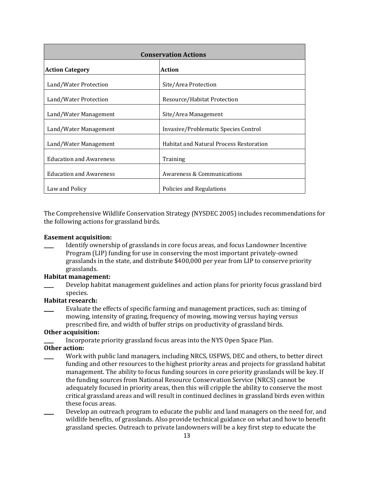| <b>Conservation Actions</b>    |                                                |  |  |
|--------------------------------|------------------------------------------------|--|--|
| <b>Action Category</b>         | <b>Action</b>                                  |  |  |
| Land/Water Protection          | Site/Area Protection                           |  |  |
| Land/Water Protection          | Resource/Habitat Protection                    |  |  |
| Land/Water Management          | Site/Area Management                           |  |  |
| Land/Water Management          | Invasive/Problematic Species Control           |  |  |
| Land/Water Management          | <b>Habitat and Natural Process Restoration</b> |  |  |
| <b>Education and Awareness</b> | Training                                       |  |  |
| <b>Education and Awareness</b> | Awareness & Communications                     |  |  |
| Law and Policy                 | Policies and Regulations                       |  |  |

The Comprehensive Wildlife Conservation Strategy (NYSDEC 2005) includes recommendations for the following actions for grassland birds.

#### **Easement acquisition:**

\_\_\_\_ Identify ownership of grasslands in core focus areas, and focus Landowner Incentive Program (LIP) funding for use in conserving the most important privately-owned grasslands in the state, and distribute \$400,000 per year from LIP to conserve priority grasslands.

## **Habitat management:**

Develop habitat management guidelines and action plans for priority focus grassland bird species.

## **Habitat research:**

Evaluate the effects of specific farming and management practices, such as: timing of mowing, intensity of grazing, frequency of mowing, mowing versus haying versus prescribed fire, and width of buffer strips on productivity of grassland birds.

### **Other acquisition:**

Incorporate priority grassland focus areas into the NYS Open Space Plan.

## **Other action:**

- Work with public land managers, including NRCS, USFWS, DEC and others, to better direct funding and other resources to the highest priority areas and projects for grassland habitat management. The ability to focus funding sources in core priority grasslands will be key. If the funding sources from National Resource Conservation Service (NRCS) cannot be adequately focused in priority areas, then this will cripple the ability to conserve the most critical grassland areas and will result in continued declines in grassland birds even within these focus areas.
- Develop an outreach program to educate the public and land managers on the need for, and wildlife benefits, of grasslands. Also provide technical guidance on what and how to benefit grassland species. Outreach to private landowners will be a key first step to educate the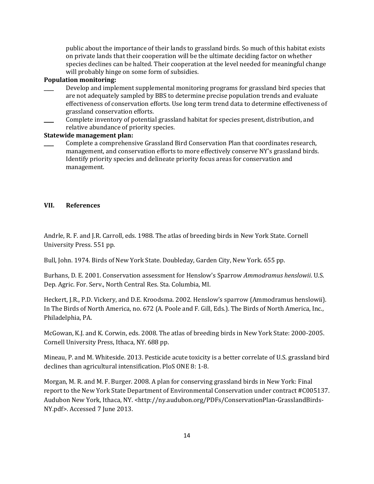public about the importance of their lands to grassland birds. So much of this habitat exists on private lands that their cooperation will be the ultimate deciding factor on whether species declines can be halted. Their cooperation at the level needed for meaningful change will probably hinge on some form of subsidies.

#### **Population monitoring:**

- Develop and implement supplemental monitoring programs for grassland bird species that are not adequately sampled by BBS to determine precise population trends and evaluate effectiveness of conservation efforts. Use long term trend data to determine effectiveness of grassland conservation efforts.
- Complete inventory of potential grassland habitat for species present, distribution, and relative abundance of priority species.

### **Statewide management plan:**

\_\_\_\_ Complete a comprehensive Grassland Bird Conservation Plan that coordinates research, management, and conservation efforts to more effectively conserve NY's grassland birds. Identify priority species and delineate priority focus areas for conservation and management.

#### **VII. References**

Andrle, R. F. and J.R. Carroll, eds. 1988. The atlas of breeding birds in New York State. Cornell University Press. 551 pp.

Bull, John. 1974. Birds of New York State. Doubleday, Garden City, New York. 655 pp.

Burhans, D. E. 2001. Conservation assessment for Henslow's Sparrow *Ammodramus henslowii*. U.S. Dep. Agric. For. Serv., North Central Res. Sta. Columbia, MI.

Heckert, J.R., P.D. Vickery, and D.E. Kroodsma. 2002. Henslow's sparrow (Ammodramus henslowii). In The Birds of North America, no. 672 (A. Poole and F. Gill, Eds.). The Birds of North America, Inc., Philadelphia, PA.

McGowan, K.J. and K. Corwin, eds. 2008. The atlas of breeding birds in New York State: 2000-2005. Cornell University Press, Ithaca, NY. 688 pp.

Mineau, P. and M. Whiteside. 2013. Pesticide acute toxicity is a better correlate of U.S. grassland bird declines than agricultural intensification. PloS ONE 8: 1-8.

Morgan, M. R. and M. F. Burger. 2008. A plan for conserving grassland birds in New York: Final report to the New York State Department of Environmental Conservation under contract #C005137. Audubon New York, Ithaca, NY. <http://ny.audubon.org/PDFs/ConservationPlan-GrasslandBirds-NY.pdf>. Accessed 7 June 2013.